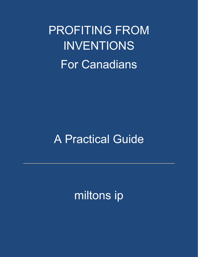PROFITING FROM INVENTIONS For Canadians

# A Practical Guide

miltons ip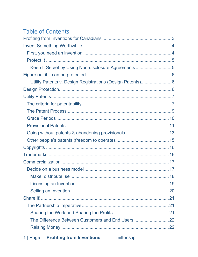# **Table of Contents**

| Keep It Secret by Using Non-disclosure Agreements5        |  |
|-----------------------------------------------------------|--|
|                                                           |  |
| Utility Patents v. Design Registrations (Design Patents)6 |  |
|                                                           |  |
|                                                           |  |
|                                                           |  |
|                                                           |  |
|                                                           |  |
|                                                           |  |
| Going without patents & abandoning provisionals 13        |  |
|                                                           |  |
|                                                           |  |
|                                                           |  |
|                                                           |  |
|                                                           |  |
|                                                           |  |
|                                                           |  |
|                                                           |  |
|                                                           |  |
|                                                           |  |
|                                                           |  |
| The Difference Between Customers and End Users 22         |  |
|                                                           |  |
|                                                           |  |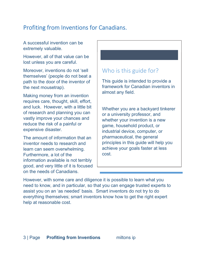# Profiting from Inventions for Canadians.

A successful invention can be extremely valuable.

However, all of that value can be lost unless you are careful.

Moreover, inventions do not 'sell themselves' (people do not beat a path to the door of the inventor of the next mousetrap).

Making money from an invention requires care, thought, skill, effort, and luck. However, with a little bit of research and planning you can vastly improve your chances and reduce the risk of a painful or expensive disaster.

The amount of information that an inventor needs to research and learn can seem overwhelming. Furthermore, a lot of the information available is not terribly good, and very little of it is focused on the needs of Canadians.

# Who is this guide for?

This guide is intended to provide a framework for Canadian inventors in almost any field.

Whether you are a backyard tinkerer or a university professor, and whether your invention is a new game, household product, or industrial device, computer, or pharmaceutical, the general principles in this guide will help you achieve your goals faster at less cost.

However, with some care and diligence it is possible to learn what you need to know, and in particular, so that you can engage trusted experts to assist you on an 'as needed' basis. Smart inventors do not try to do everything themselves; smart inventors know how to get the right expert help at reasonable cost.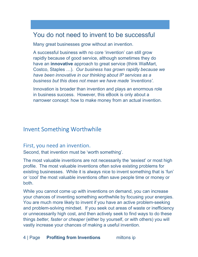# You do not need to invent to be successful

Many great businesses grow without an invention.

A successful business with no core 'invention' can still grow rapidly because of good service, although sometimes they do have an **innovative** approach to great service (think WalMart, Costco, Staples …). *Our business has grown rapidly because we have been innovative in our thinking about IP services as a business but this does not mean we have made 'inventions'.*

Innovation is broader than invention and plays an enormous role in business success. However, this eBook is only about a narrower concept: how to make money from an actual invention.

## Invent Something Worthwhile

#### First, you need an invention.

Second, that invention must be 'worth something'.

The most valuable inventions are not necessarily the 'sexiest' or most high profile. The most valuable inventions often solve existing problems for existing businesses. While it is always nice to invent something that is 'fun' or 'cool' the most valuable inventions often save people time or money or both.

While you cannot come up with inventions on demand, you can increase your chances of inventing something worthwhile by focusing your energies. You are much more likely to invent if you have an active problem-seeking and problem-solving mindset. If you seek out areas of waste or inefficiency or unnecessarily high cost, and then actively seek to find ways to do these things *better, faster or cheaper* (either by yourself, or with others) you will vastly increase your chances of making a useful invention.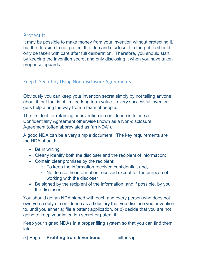## Protect It

It may be possible to make money from your invention without protecting it, but the decision to not protect the idea and disclose it to the public should only be taken with care after full deliberation. Therefore, you should start by keeping the invention secret and only disclosing it when you have taken proper safeguards.

#### Keep It Secret by Using Non-disclosure Agreements

Obviously you can keep your invention secret simply by not telling anyone about it, but that is of limited long term value – every successful inventor gets help along the way from a team of people.

The first tool for retaining an invention in confidence is to use a Confidentiality Agreement otherwise known as a Non-disclosure Agreement (often abbreviated as "an NDA").

A good NDA can be a very simple document. The key requirements are the NDA should:

- Be in writing.
- Clearly identify both the discloser and the recipient of information;
- Contain clear promises by the recipient:
	- $\circ$  To keep the information received confidential, and,
	- o Not to use the information received except for the purpose of working with the discloser
- Be signed by the recipient of the information, and if possible, by you, the discloser.

You should get an NDA signed with each and every person who does not owe you a duty of confidence as a fiduciary that you disclose your invention to, until you either a) file a patent application, or b) decide that you are not going to keep your invention secret or patent it.

Keep your signed NDAs in a proper filing system so that you can find them later.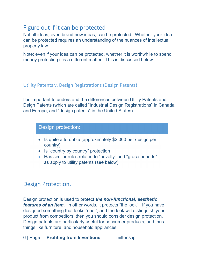# Figure out if it can be protected

Not all ideas, even brand new ideas, can be protected. Whether your idea can be protected requires an understanding of the nuances of intellectual property law.

Note: even if your idea can be protected, whether it is worthwhile to spend money protecting it is a different matter. This is discussed below.

#### Utility Patents v. Design Registrations (Design Patents)

It is important to understand the differences between Utility Patents and Deign Patents (which are called "Industrial Design Registrations" in Canada and Europe, and "design patents" in the United States).

Design protection:

- Is quite affordable (approximately \$2,000 per design per country)
- Is "country by country" protection
- Has similar rules related to "novelty" and "grace periods" as apply to utility patents (see below)

## Design Protection.

Design protection is used to protect *the non-functional, aesthetic features of an item*. In other words, it protects "the look". If you have designed something that looks "cool", and the look will distinguish your product from competitors' then you should consider design protection. Design patents are particularly useful for consumer products, and thus things like furniture, and household appliances.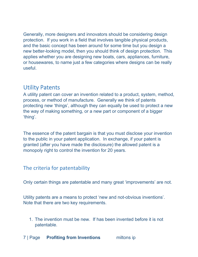Generally, more designers and innovators should be considering design protection. If you work in a field that involves tangible physical products, and the basic concept has been around for some time but you design a new better-looking model, then you should think of design protection. This applies whether you are designing new boats, cars, appliances, furniture, or housewares, to name just a few categories where designs can be really useful.

# Utility Patents

A utility patent can cover an invention related to a product, system, method, process, or method of manufacture. Generally we think of patents protecting new 'things', although they can equally be used to protect a new the way of making something, or a new part or component of a bigger 'thing'.

The essence of the patent bargain is that you must disclose your invention to the public in your patent application. In exchange, if your patent is granted (after you have made the disclosure) the allowed patent is a monopoly right to control the invention for 20 years.

## The criteria for patentability

Only certain things are patentable and many great 'improvements' are not.

Utility patents are a means to protect 'new and not-obvious inventions'. Note that there are two key requirements.

- 1. The invention must be new. If has been invented before it is not patentable.
- 7 | Page **Profiting from Inventions** miltons ip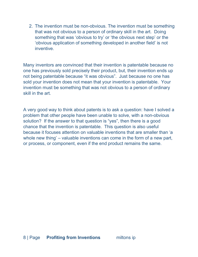2. The invention must be non-obvious. The invention must be something that was not obvious to a person of ordinary skill in the art. Doing something that was 'obvious to try' or 'the obvious next step' or the 'obvious application of something developed in another field' is not inventive.

Many inventors are convinced that their invention is patentable because no one has previously sold precisely their product, but, their invention ends up not being patentable because "it was obvious". Just because no one has sold your invention does not mean that your invention is patentable. Your invention must be something that was not obvious to a person of ordinary skill in the art.

A very good way to think about patents is to ask a question: have I solved a problem that other people have been unable to solve, with a non-obvious solution? If the answer to that question is "yes", then there is a good chance that the invention is patentable. This question is also useful because it focuses attention on valuable inventions that are smaller than 'a whole new thing' – valuable inventions can come in the form of a new part, or process, or component, even if the end product remains the same.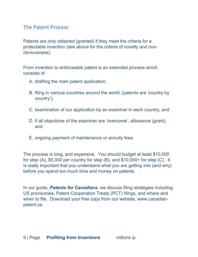## The Patent Process

Patents are only obtained (granted) if they meet the criteria for a protectable invention (see above for the criteria of novelty and nonobviousness).

From invention to enforceable patent is an extended process which consists of

- A. drafting the main patent application;
- B. filing in various countries around the world; (patents are 'country by country');
- C. examination of our application by an examiner in each country, and
- D. if all objections of the examiner are 'overcome', allowance (grant), and
- E. ongoing payment of maintenance or annuity fees.

The process is long, and expensive. You should budget at least \$10,000 for step (A), \$5,000 per country for step (B), and \$10,000+ for step (C). It is really important that you understand what you are getting into (and why) before you spend too much time and money on patents.

In our guide, *Patents for Canadians*, we discuss filing strategies including US provisonals, Patent Cooperation Treaty (PCT) filings, and where and when to file. Download your free copy from our website, www.canadianpatent.ca.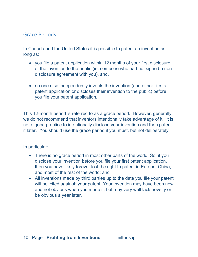## Grace Periods

In Canada and the United States it is possible to patent an invention as long as:

- you file a patent application within 12 months of your first disclosure of the invention to the public (ie. someone who had not signed a nondisclosure agreement with you), and,
- no one else independently invents the invention (and either files a patent application or discloses their invention to the public) before you file your patent application.

This 12-month period is referred to as a grace period. However, generally we do not recommend that inventors intentionally take advantage of it. It is not a good practice to intentionally disclose your invention and then patent it later. You should use the grace period if you must, but not deliberately.

In particular:

- There is no grace period in most other parts of the world. So, if you disclose your invention before you file your first patent application, then you have likely forever lost the right to patent in Europe, China, and most of the rest of the world; and
- All inventions made by third parties up to the date you file your patent will be 'cited against; your patent. Your invention may have been new and not obvious when you made it, but may very well lack novelty or be obvious a year later.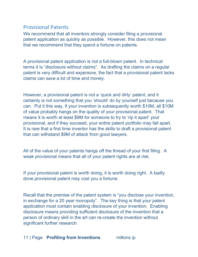## Provisional Patents

We recommend that all inventors strongly consider filing a provisional patent application as quickly as possible. However, this does not mean that we recommend that they spend a fortune on patents.

A provisional patent application is not a full-blown patent. In technical terms it is "disclosure without claims". As drafting the claims on a regular patent is very difficult and expensive, the fact that a provisional patent lacks claims can save a lot of time and money.

However, a provisional patent is not a 'quick and dirty' patent, and it certainly is not something that you 'should' do by yourself just because you can. Put it this way, if your invention is subsequently worth \$10M, all \$10M of value probably hangs on the quality of your provisional patent. That means it is worth at least \$9M for someone to try to 'rip it apart' your provisional, and if they succeed, your entire patent portfolio may fall apart. It is rare that a first time inventor has the skills to draft a provisional patent that can withstand \$9M of attack from good lawyers.

All of the value of your patents hangs off the thread of your first filing. A weak provisional means that all of your patent rights are at risk.

If your provisional patent is worth doing, it is worth doing right. A badly done provisional patent may cost you a fortune.

Recall that the premise of the patent system is "you disclose your invention, in exchange for a 20 year monopoly". The key thing is that your patent application must contain enabling disclosure of your invention. Enabling disclosure means providing sufficient disclosure of the invention that a person of ordinary skill in the art can re-create the invention without significant further research.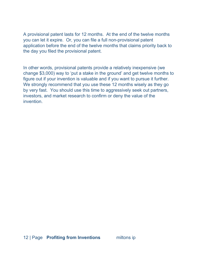A provisional patent lasts for 12 months. At the end of the twelve months you can let it expire. Or, you can file a full non-provisional patent application before the end of the twelve months that claims priority back to the day you filed the provisional patent.

In other words, provisional patents provide a relatively inexpensive (we change \$3,000) way to 'put a stake in the ground' and get twelve months to figure out if your invention is valuable and if you want to pursue it further. We strongly recommend that you use these 12 months wisely as they go by very fast. You should use this time to aggressively seek out partners, investors, and market research to confirm or deny the value of the invention.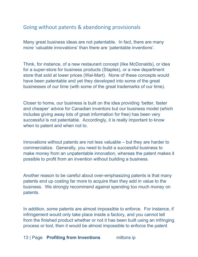## Going without patents & abandoning provisionals

Many great business ideas are not patentable. In fact, there are many more 'valuable innovations' than there are 'patentable inventions'.

Think, for instance, of a new restaurant concept (like McDonalds), or idea for a super-store for business products (Staples), or a new department store that sold at lower prices (Wal-Mart). None of these concepts would have been patentable and yet they developed into some of the great businesses of our time (with some of the great trademarks of our time).

Closer to home, our business is built on the idea providing 'better, faster and cheaper' advice for Canadian inventors but our business model (which includes giving away lots of great information for free) has been very successful is not patentable. Accordingly, it is really important to know when to patent and when not to.

Innovations without patents are not less valuable – but they are harder to commercialize. Generally, you need to build a successful business to make money from an unpatentable innovation, whereas the patent makes it possible to profit from an invention without building a business.

Another reason to be careful about over-emphasizing patents is that many patents end up costing far more to acquire than they add in value to the business. We strongly recommend against spending too much money on patents.

In addition, some patents are almost impossible to enforce. For instance, if infringement would only take place inside a factory, and you cannot tell from the finished product whether or not it has been built using an infringing process or tool, then it would be almost impossible to enforce the patent

13 | Page **Profiting from Inventions** miltons ip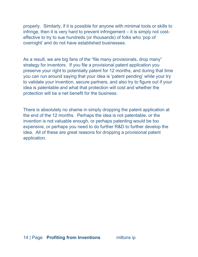properly. Similarly, if it is possible for anyone with minimal tools or skills to infringe, then it is very hard to prevent infringement – it is simply not costeffective to try to sue hundreds (or thousands) of folks who 'pop of overnight' and do not have established businesses.

As a result, we are big fans of the "file many provisionals, drop many" strategy for inventors. If you file a provisional patent application you preserve your right to potentially patent for 12 months, and during that time you can run around saying that your idea is 'patent pending' while your try to validate your invention, secure partners, and also try to figure out if your idea is patentable and what that protection will cost and whether the protection will be a net benefit for the business.

There is absolutely no shame in simply dropping the patent application at the end of the 12 months. Perhaps the idea is not patentable, or the invention is not valuable enough, or perhaps patenting would be too expensive, or perhaps you need to do further R&D to further develop the idea. All of these are great reasons for dropping a provisional patent application.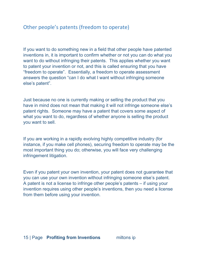## Other people's patents (freedom to operate)

If you want to do something new in a field that other people have patented inventions in, it is important to confirm whether or not you can do what you want to do without infringing their patents. This applies whether you want to patent your invention or not, and this is called ensuring that you have "freedom to operate". Essentially, a freedom to operate assessment answers the question "can I do what I want without infringing someone else's patent".

Just because no one is currently making or selling the product that you have in mind does not mean that making it will not infringe someone else's patent rights. Someone may have a patent that covers some aspect of what you want to do, regardless of whether anyone is selling the product you want to sell.

If you are working in a rapidly evolving highly competitive industry (for instance, if you make cell phones), securing freedom to operate may be the most important thing you do; otherwise, you will face very challenging infringement litigation.

Even if you patent your own invention, your patent does not guarantee that you can use your own invention without infringing someone else's patent. A patent is not a license to infringe other people's patents – if using your invention requires using other people's inventions, then you need a license from them before using your invention.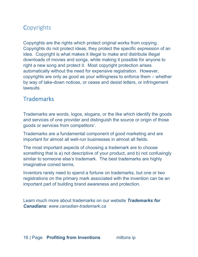# **Copyrights**

Copyrights are the rights which protect original works from copying. Copyrights do not protect ideas, they protect the specific expression of an idea. Copyright is what makes it illegal to make and distribute illegal downloads of movies and songs, while making it possible for anyone to right a new song and protect it. Most copyright protection arises automatically without the need for expensive registration. However, copyrights are only as good as your willingness to enforce them – whether by way of take-down notices, or cease and desist letters, or infringement lawsuits.

## **Trademarks**

Trademarks are words, logos, slogans, or the like which identify the goods and services of one provider and distinguish the source or origin of those goods or services from competitors'.

Trademarks are a fundamental component of good marketing and are important for almost all well-run businesses in almost all fields.

The most important aspects of choosing a trademark are to choose something that is a) not descriptive of your product, and b) not confusingly similar to someone else's trademark. The best trademarks are highly imaginative coined terms.

Inventors rarely need to spend a fortune on trademarks, but one or two registrations on the primary mark associated with the invention can be an important part of building brand awareness and protection.

Learn much more about trademarks on our website *Trademarks for Canadians: www.canadian-trademark.ca*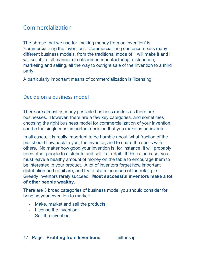## Commercialization

The phrase that we use for 'making money from an invention' is 'commercializing the invention'. Commercializing can encompass many different business models, from the traditional mode of 'I will make it and I will sell it', to all manner of outsourced manufacturing, distribution, marketing and selling, all the way to outright sale of the invention to a third party.

A particularly important means of commercialization is 'licensing'.

#### Decide on a business model

There are almost as many possible business models as there are businesses. However, there are a few key categories, and sometimes choosing the right business model for commercialization of your invention can be the single most important decision that you make as an inventor.

In all cases, it is really important to be humble about 'what fraction of the pie' should flow back to you, the inventor, and to share the spoils with others. No matter how good your invention is, for instance, it will probably need other people to distribute and sell it at retail. If this is the case, you must leave a healthy amount of money on the table to encourage them to be interested in your product. A lot of inventors forget how important distribution and retail are, and try to claim too much of the retail pie. Greedy inventors rarely succeed. **Most successful inventors make a lot of other people wealthy.**

There are 3 broad categories of business model you should consider for bringing your invention to market:

- Make, market and sell the products;
- License the invention;
- Sell the invention.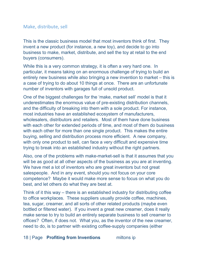#### Make, distribute, sell

This is the classic business model that most inventors think of first. They invent a new product (for instance, a new toy), and decide to go into business to make, market, distribute, and sell the toy at retail to the end buyers (consumers).

While this is a very common strategy, it is often a very hard one. In particular, it means taking on an enormous challenge of trying to build an entirely new business while also bringing a new invention to market – this is a case of trying to do about 10 things at once. There are an unfortunate number of inventors with garages full of unsold product.

One of the biggest challenges for the 'make, market sell' model is that it underestimates the enormous value of pre-existing distribution channels, and the difficulty of breaking into them with a sole product. For instance, most industries have an established ecosystem of manufacturers, wholesalers, distributors and retailers. Most of them have done business with each other for extended periods of time, and most of them do business with each other for more than one single product. This makes the entire buying, selling and distribution process more efficient. A new company, with only one product to sell, can face a very difficult and expensive time trying to break into an established industry without the right partners.

Also, one of the problems with make-market-sell is that it assumes that you will be as good at all other aspects of the business as you are at inventing. We have met a lot of inventors who are great inventors but not great salespeople. And in any event, should you not focus on your core competence? Maybe it would make more sense to focus on what you do best, and let others do what they are best at.

Think of it this way – there is an established industry for distributing coffee to office workplaces. These suppliers usually provide coffee, machines, tea, sugar, creamer, and all sorts of other related products (maybe even bottled or filtered water). If you invent a great new creamer, does it really make sense to try to build an entirely separate business to sell creamer to offices? Often, if does not. What you, as the inventor of the new creamer, need to do, is to partner with existing coffee-supply companies (either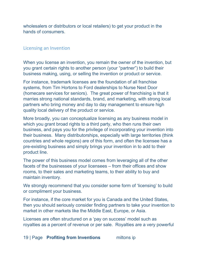wholesalers or distributors or local retailers) to get your product in the hands of consumers.

#### Licensing an Invention

When you license an invention, you remain the owner of the invention, but you grant certain rights to another person (your "partner") to build their business making, using, or selling the invention or product or service.

For instance, trademark licenses are the foundation of all franchise systems, from Tim Hortons to Ford dealerships to Nurse Next Door (homecare services for seniors). The great power of franchising is that it marries strong national standards, brand, and marketing, with strong local partners who bring money and day to day management to ensure high quality local delivery of the product or service.

More broadly, you can conceptualize licensing as any business model in which you grant broad rights to a third party, who then runs their own business, and pays you for the privilege of incorporating your invention into their business. Many distributorships, especially with large territories (think countries and whole regions) are of this form, and often the licensee has a pre-existing business and simply brings your invention in to add to their product line.

The power of this business model comes from leveraging all of the other facets of the businesses of your licensees – from their offices and show rooms, to their sales and marketing teams, to their ability to buy and maintain inventory.

We strongly recommend that you consider some form of 'licensing' to build or compliment your business.

For instance, if the core market for you is Canada and the United States, then you should seriously consider finding partners to take your invention to market in other markets like the Middle East, Europe, or Asia.

Licenses are often structured on a 'pay on success' model such as royalties as a percent of revenue or per sale. Royalties are a very powerful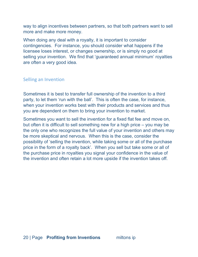way to align incentives between partners, so that both partners want to sell more and make more money.

When doing any deal with a royalty, it is important to consider contingencies. For instance, you should consider what happens if the licensee loses interest, or changes ownership, or is simply no good at selling your invention. We find that 'guaranteed annual minimum' royalties are often a very good idea.

#### Selling an Invention

Sometimes it is best to transfer full ownership of the invention to a third party, to let them 'run with the ball'. This is often the case, for instance, when your invention works best with their products and services and thus you are dependent on them to bring your invention to market.

Sometimes you want to sell the invention for a fixed flat fee and move on, but often it is difficult to sell something new for a high price – you may be the only one who recognizes the full value of your invention and others may be more skeptical and nervous. When this is the case, consider the possibility of 'selling the invention, while taking some or all of the purchase price in the form of a royalty back'. When you sell but take some or all of the purchase price in royalties you signal your confidence in the value of the invention and often retain a lot more upside if the invention takes off.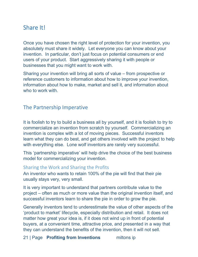# Share It!

Once you have chosen the right level of protection for your invention, you absolutely must share it widely. Let everyone you can know about your invention. In particular, don't just focus on potential consumers or end users of your product. Start aggressively sharing it with people or businesses that you might want to work with.

Sharing your invention will bring all sorts of value – from prospective or reference customers to information about how to improve your invention, information about how to make, market and sell it, and information about who to work with.

## The Partnership Imperative

It is foolish to try to build a business all by yourself, and it is foolish to try to commercialize an invention from scratch by yourself. Commercializing an invention is complex with a lot of moving pieces. Successful inventors learn what they can do best, and get others involved with the project to help with everything else. Lone wolf inventors are rarely very successful.

This 'partnership imperative' will help drive the choice of the best business model for commercializing your invention.

#### Sharing the Work and Sharing the Profits

An inventor who wants to retain 100% of the pie will find that their pie usually stays very, very small.

It is very important to understand that partners contribute value to the project – often as much or more value than the original invention itself, and successful inventors learn to share the pie in order to grow the pie.

Generally inventors tend to underestimate the value of other aspects of the 'product to market' lifecycle, especially distribution and retail. It does not matter how great your idea is, if it does not wind up in front of potential buyers, at a convenient time, attractive price, and presented in a way that they can understand the benefits of the invention, then it will not sell.

21 | Page **Profiting from Inventions** miltons ip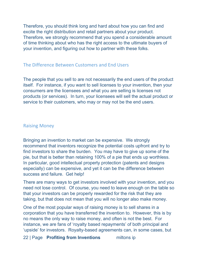Therefore, you should think long and hard about how you can find and excite the right distribution and retail partners about your product. Therefore, we strongly recommend that you spend a considerable amount of time thinking about who has the right access to the ultimate buyers of your invention, and figuring out how to partner with these folks.

#### The Difference Between Customers and End Users

The people that you sell to are not necessarily the end users of the product itself. For instance, if you want to sell licenses to your invention, then your consumers are the licensees and what you are selling is licenses not products (or services). In turn, your licensees will sell the actual product or service to their customers, who may or may not be the end users.

#### Raising Money

Bringing an invention to market can be expensive. We strongly recommend that inventors recognize the potential costs upfront and try to find investors to share the burden. You may have to give up some of the pie, but that is better than retaining 100% of a pie that ends up worthless. In particular, good intellectual property protection (patents and designs especially) can be expensive, and yet it can be the difference between success and failure. Get help!

There are many ways to get investors involved with your invention, and you need not lose control. Of course, you need to leave enough on the table so that your investors can be properly rewarded for the risk that they are taking, but that does not mean that you will no longer also make money.

One of the most popular ways of raising money is to sell shares in a corporation that you have transferred the invention to. However, this is by no means the only way to raise money, and often is not the best. For instance, we are fans of 'royalty based repayments' of both principal and 'upside' for investors. Royalty-based agreements can, in some cases, but

22 | Page **Profiting from Inventions** miltons ip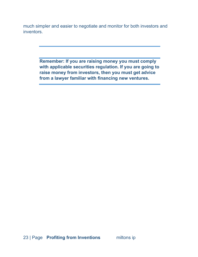much simpler and easier to negotiate and monitor for both investors and inventors.

> **Remember: If you are raising money you must comply with applicable securities regulation. If you are going to raise money from investors, then you must get advice from a lawyer familiar with financing new ventures.**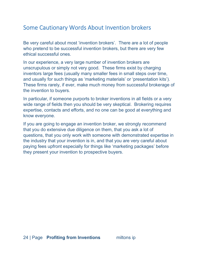# Some Cautionary Words About Invention brokers

Be very careful about most 'invention brokers'. There are a lot of people who pretend to be successful invention brokers, but there are very few ethical successful ones.

In our experience, a very large number of invention brokers are unscrupulous or simply not very good. These firms exist by charging inventors large fees (usually many smaller fees in small steps over time, and usually for such things as 'marketing materials' or 'presentation kits'). These firms rarely, if ever, make much money from successful brokerage of the invention to buyers.

In particular, if someone purports to broker inventions in all fields or a very wide range of fields then you should be very skeptical. Brokering requires expertise, contacts and efforts, and no one can be good at everything and know everyone.

If you are going to engage an invention broker, we strongly recommend that you do extensive due diligence on them, that you ask a lot of questions, that you only work with someone with demonstrated expertise in the industry that your invention is in, and that you are very careful about paying fees upfront especially for things like 'marketing packages' before they present your invention to prospective buyers.